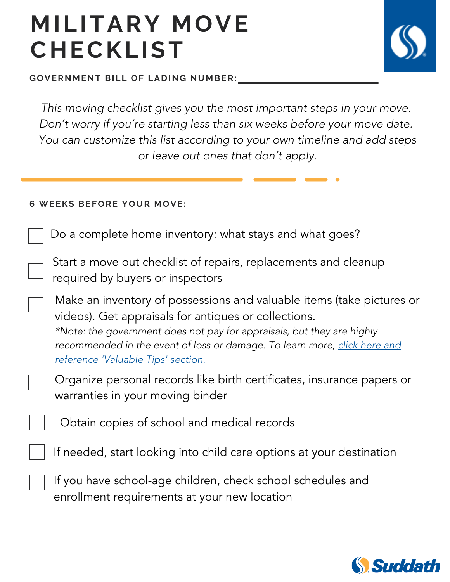GOVERNMENT BILL OF LADING NUMBER:

This moving checklist gives you the most important steps in your move. Don't worry if you're starting less than six weeks before your move date. You can customize this list according to your own timeline and add steps or leave out ones that don't apply.

#### **6 WEEKS BEFORE YOUR MOVE:**

Do a complete home inventory: what stays and what goes?

Start a move out checklist of repairs, replacements and cleanup required by buyers or inspectors

Make an inventory of possessions and valuable items (take pictures or videos). Get appraisals for antiques or collections. \*Note: the government does not pay for appraisals, but they are highly [recommended in the event of loss or damage. To learn more, click here and](https://www.ustranscom.mil/dtr/part-iv/dtr_part_iv_app_k_1.pdf) reference 'Valuable Tips' section[.](https://www.ustranscom.mil/dtr/part-iv/dtr_part_iv_app_k_1.pdf)

Organize personal records like birth certificates, insurance papers or warranties in your moving binder

Obtain copies of school and medical records

If needed, start looking into child care options at your destination

If you have school-age children, check school schedules and enrollment requirements at your new location

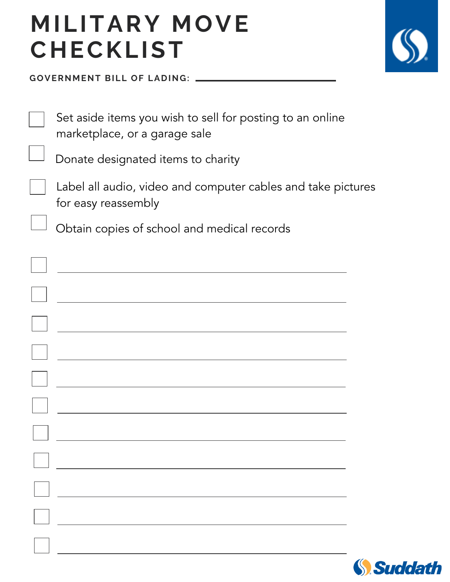

GOVERNMENT BILL OF LADING:

| Set aside items you wish to sell for posting to an online<br>marketplace, or a garage sale |  |
|--------------------------------------------------------------------------------------------|--|
| Donate designated items to charity                                                         |  |
| Label all audio, video and computer cables and take pictures<br>for easy reassembly        |  |
| Obtain copies of school and medical records                                                |  |
|                                                                                            |  |
|                                                                                            |  |
|                                                                                            |  |
|                                                                                            |  |
|                                                                                            |  |
|                                                                                            |  |
|                                                                                            |  |
|                                                                                            |  |
|                                                                                            |  |
|                                                                                            |  |
|                                                                                            |  |

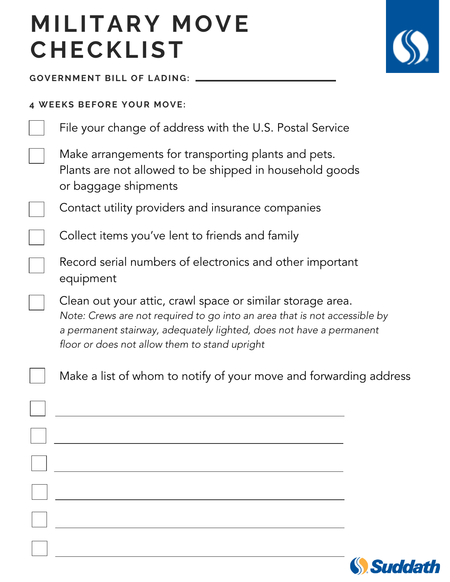

**GOVERNMENT BILL OF LADING:** 

#### **4 WEEKS BEFORE YOUR MOVE:**

|  | File your change of address with the U.S. Postal Service |  |  |
|--|----------------------------------------------------------|--|--|
|  |                                                          |  |  |

Make arrangements for transporting plants and pets. Plants are not allowed to be shipped in household goods or baggage shipments

Contact utility providers and insurance companies

Collect items you've lent to friends and family

Record serial numbers of electronics and other important equipment

Clean out your attic, crawl space or similar storage area. Note: Crews are not required to go into an area that is not accessible by a permanent stairway, adequately lighted, does not have a permanent floor or does not allow them to stand upright

Make a list of whom to notify of your move and forwarding address

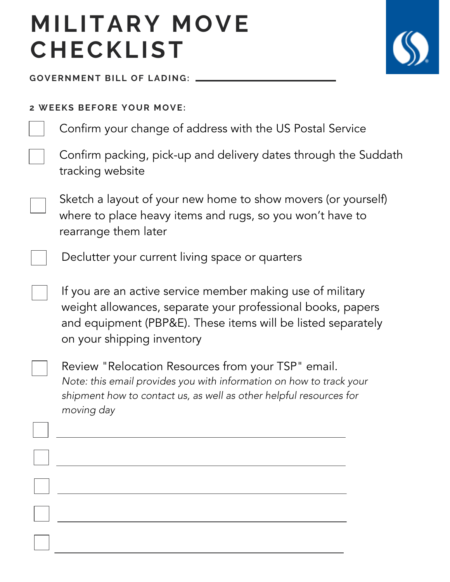

**GOVERNMENT BILL OF LADING:** 

#### **2 WEEKS BEFORE YOUR MOVE:**

Confirm your change of address with the US Postal Service



Sketch a layout of your new home to show movers (or yourself) where to place heavy items and rugs, so you won't have to rearrange them later

Declutter your current living space or quarters

If you are an active service member making use of military weight allowances, separate your professional books, papers and equipment (PBP&E). These items will be listed separately on your shipping inventory

Review "Relocation Resources from your TSP" email. Note: this email provides you with information on how to track your shipment how to contact us, as well as other helpful resources for moving day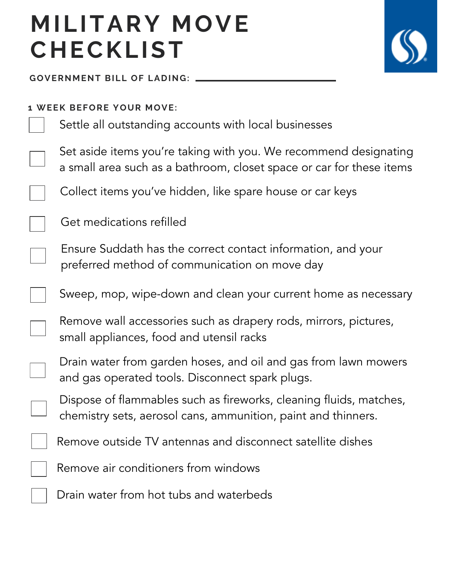

**GOVERNMENT BILL OF LADING:** 

#### **1 WEEK BEFORE YOUR MOVE:**

Settle all outstanding accounts with local businesses

Set aside items you're taking with you. We recommend designating a small area such as a bathroom, closet space or car for these items

Collect items you've hidden, like spare house or car keys

Get medications refilled

Ensure Suddath has the correct contact information, and your preferred method of communication on move day

Sweep, mop, wipe-down and clean your current home as necessary

Remove wall accessories such as drapery rods, mirrors, pictures, small appliances, food and utensil racks

Drain water from garden hoses, and oil and gas from lawn mowers and gas operated tools. Disconnect spark plugs.

Dispose of flammables such as fireworks, cleaning fluids, matches, chemistry sets, aerosol cans, ammunition, paint and thinners.

Remove outside TV antennas and disconnect satellite dishes

Remove air conditioners from windows

Drain water from hot tubs and waterbeds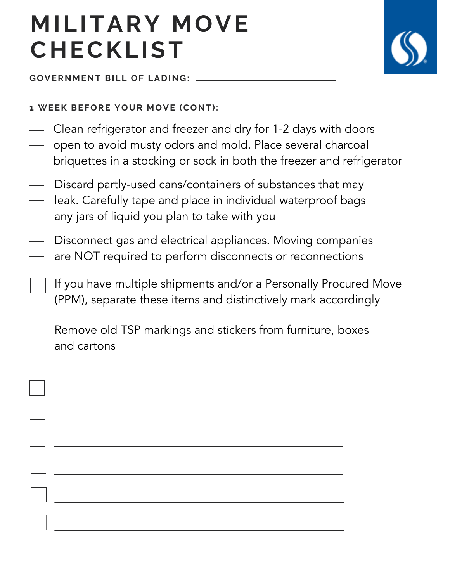

**GOVERNMENT BILL OF LADING:** 

#### **1 WEEK BEFORE YOUR MOVE (CONT):**

Clean refrigerator and freezer and dry for 1-2 days with doors open to avoid musty odors and mold. Place several charcoal briquettes in a stocking or sock in both the freezer and refrigerator

Discard partly-used cans/containers of substances that may leak. Carefully tape and place in individual waterproof bags any jars of liquid you plan to take with you

Disconnect gas and electrical appliances. Moving companies are NOT required to perform disconnects or reconnections

If you have multiple shipments and/or a Personally Procured Move (PPM), separate these items and distinctively mark accordingly

Remove old TSP markings and stickers from furniture, boxes and cartons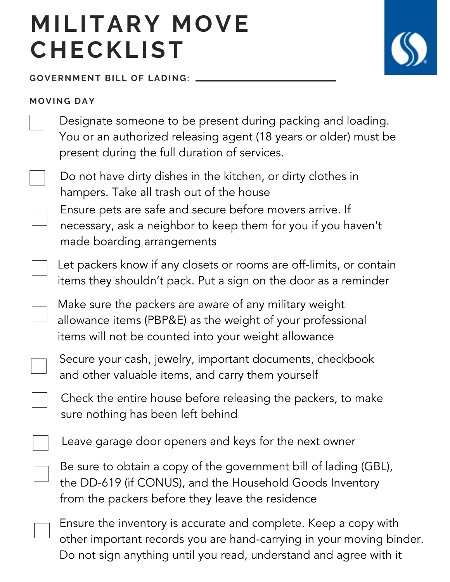**GOVERNMENT BILL OF LADING:** 

#### **M O V I N G D A Y**



Ensure pets are safe and secure before movers arrive. If necessary, ask a neighbor to keep them for you if you haven't Do not have dirty dishes in the kitchen, or dirty clothes in hampers. Take all trash out of the house

made boarding arrangements

Let packers know if any closets or rooms are off-limits, or contain items they shouldn't pack. Put a sign on the door as a reminder

Make sure the packers are aware of any military weight allowance items (PBP&E) as the weight of your professional items will not be counted into your weight allowance

Secure your cash, jewelry, important documents, checkbook and other valuable items, and carry them yourself

Check the entire house before releasing the packers, to make sure nothing has been left behind

Leave garage door openers and keys for the next owner

Be sure to obtain a copy of the government bill of lading (GBL), the DD-619 (if CONUS), and the Household Goods Inventory from the packers before they leave the residence

Ensure the inventory is accurate and complete. Keep a copy with other important records you are hand-carrying in your moving binder. Do not sign anything until you read, understand and agree with it

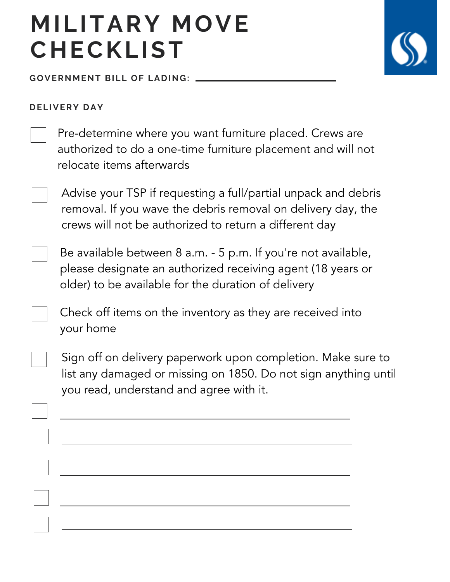**GOVERNMENT BILL OF LADING:** 



#### **D E L I V E R Y D A Y**

Pre-determine where you want furniture placed. Crews are authorized to do a one-time furniture placement and will not relocate items afterwards

Advise your TSP if requesting a full/partial unpack and debris removal. If you wave the debris removal on delivery day, the crews will not be authorized to return a different day



Be available between 8 a.m. - 5 p.m. If you're not available, please designate an authorized receiving agent (18 years or older) to be available for the duration of delivery

Check off items on the inventory as they are received into your home

Sign off on delivery paperwork upon completion. Make sure to list any damaged or missing on 1850. Do not sign anything until you read, understand and agree with it.